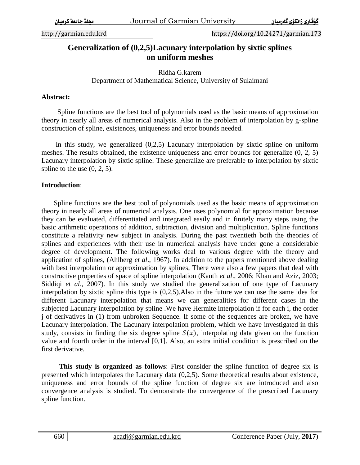http://garmian.edu.krd https://doi.org/10.24271/garmian.173

# **Generalization of (0,2,5)Lacunary interpolation by sixtic splines on uniform meshes**

Ridha G.karem Department of Mathematical Science, University of Sulaimani

### **Abstract:**

 Spline functions are the best tool of polynomials used as the basic means of approximation theory in nearly all areas of numerical analysis. Also in the problem of interpolation by g-spline construction of spline, existences, uniqueness and error bounds needed.

 In this study, we generalized (0,2,5) Lacunary interpolation by sixtic spline on uniform meshes. The results obtained, the existence uniqueness and error bounds for generalize (0, 2, 5) Lacunary interpolation by sixtic spline. These generalize are preferable to interpolation by sixtic spline to the use  $(0, 2, 5)$ .

### **Introduction**:

 Spline functions are the best tool of polynomials used as the basic means of approximation theory in nearly all areas of numerical analysis. One uses polynomial for approximation because they can be evaluated, differentiated and integrated easily and in finitely many steps using the basic arithmetic operations of addition, subtraction, division and multiplication. Spline functions constitute a relativity new subject in analysis. During the past twentieth both the theories of splines and experiences with their use in numerical analysis have under gone a considerable degree of development. The following works deal to various degree with the theory and application of splines, (Ahlberg *et al*., 1967). In addition to the papers mentioned above dealing with best interpolation or approximation by splines, There were also a few papers that deal with constructive properties of space of spline interpolation (Kanth *et al*., 2006; Khan and Aziz, 2003; Siddiqi *et al*., 2007). In this study we studied the generalization of one type of Lacunary interpolation by sixtic spline this type is (0,2,5).Also in the future we can use the same idea for different Lacunary interpolation that means we can generalities for different cases in the subjected Lacunary interpolation by spline .We have Hermite interpolation if for each i, the order j of derivatives in (1) from unbroken Sequence. If some of the sequences are broken, we have Lacunary interpolation. The Lacunary interpolation problem, which we have investigated in this study, consists in finding the six degree spline  $S(x)$ , interpolating data given on the function value and fourth order in the interval [0,1]. Also, an extra initial condition is prescribed on the first derivative.

 **This study is organized as follows**: First consider the spline function of degree six is presented which interpolates the Lacunary data (0,2,5). Some theoretical results about existence, uniqueness and error bounds of the spline function of degree six are introduced and also convergence analysis is studied. To demonstrate the convergence of the prescribed Lacunary spline function.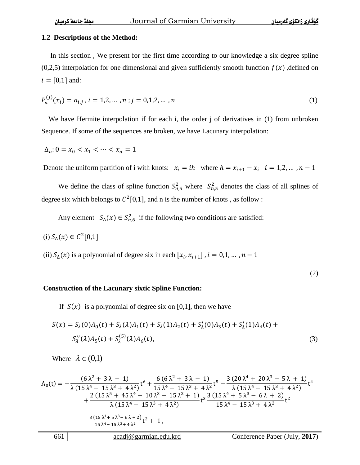#### **1.2 Descriptions of the Method:**

 In this section , We present for the first time according to our knowledge a six degree spline  $(0,2,5)$  interpolation for one dimensional and given sufficiently smooth function  $f(x)$ , defined on  $i = [0,1]$  and:

$$
P_n^{(j)}(x_i) = a_{i,j}, \, i = 1,2,\dots,n; j = 0,1,2,\dots,n
$$
\n<sup>(1)</sup>

We have Hermite interpolation if for each i, the order j of derivatives in  $(1)$  from unbroken Sequence. If some of the sequences are broken, we have Lacunary interpolation:

 $\Delta_n: 0 = x_0 < x_1 < \cdots < x_n = 1$ 

Denote the uniform partition of i with knots:  $x_i = ih$  where  $h = x_{i+1} - x_i$ 

We define the class of spline function  $S_{n,5}^2$  where  $S_{n,5}^2$  denotes the class of all splines of degree six which belongs to  $\mathcal{C}^2[0,1]$ , and n is the number of knots, as follow:

Any element  $S_{\Delta}(x) \in S_{n,6}^2$  if the following two conditions are satisfied:

(i) 
$$
S_{\Delta}(x) \in C^2[0,1]
$$

(ii)  $S_{\Delta}(x)$  is a polynomial of degree six in each  $[x_i,$ 

(2)

#### **Construction of the Lacunary sixtic Spline Function:**

If  $S(x)$  is a polynomial of degree six on [0,1], then we have

$$
S(x) = S_{\lambda}(0)A_0(t) + S_{\lambda}(\lambda)A_1(t) + S_{\lambda}(1)A_2(t) + S'_{\lambda}(0)A_3(t) + S'_{\lambda}(1)A_4(t) + S''_{\lambda}(\lambda)A_5(t) + S^{(5)}_{\lambda}(\lambda)A_6(t),
$$
\n(3)

Where  $\lambda \in (0,1)$ 

$$
A_0(t) = -\frac{(6\lambda^2 + 3\lambda - 1)}{\lambda(15\lambda^4 - 15\lambda^3 + 4\lambda^2)}t^6 + \frac{6(6\lambda^2 + 3\lambda - 1)}{15\lambda^4 - 15\lambda^3 + 4\lambda^2}t^5 - \frac{3(20\lambda^4 + 20\lambda^3 - 5\lambda + 1)}{\lambda(15\lambda^4 - 15\lambda^3 + 4\lambda^2)}t^4 + \frac{2(15\lambda^5 + 45\lambda^4 + 10\lambda^3 - 15\lambda^2 + 1)}{\lambda(15\lambda^4 - 15\lambda^3 + 4\lambda^2)}t^3 + \frac{3(15\lambda^4 + 5\lambda^3 - 6\lambda + 2)}{15\lambda^4 - 15\lambda^3 + 4\lambda^2}t^2 + \frac{3(15\lambda^4 + 5\lambda^3 - 6\lambda + 2)}{15\lambda^4 - 15\lambda^3 + 4\lambda^2}t^2 + 1,
$$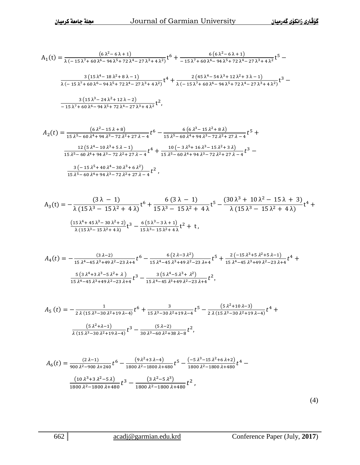$$
A_1(t) = \frac{(6\lambda^2 - 6\lambda + 1)}{\lambda(-15\lambda^7 + 60\lambda^6 - 94\lambda^5 + 72\lambda^4 - 27\lambda^3 + 4\lambda^2)}t^6 + \frac{6(6\lambda^2 - 6\lambda + 1)}{-15\lambda^7 + 60\lambda^6 - 94\lambda^5 + 72\lambda^4 - 27\lambda^3 + 4\lambda^2}t^5 -
$$

$$
\frac{3 \left(15 \, \lambda ^4-18 \, \lambda ^2+8 \, \lambda -1\right)}{\lambda \left(-15 \, \lambda ^7+60 \, \lambda ^6-94 \, \lambda ^5+72 \, \lambda ^4-27 \, \lambda ^3+4 \, \lambda ^2\right)}t^4+\frac{2 \left(45 \, \lambda ^4-54 \, \lambda ^3+12 \, \lambda ^2+3 \, \lambda -1\right)}{\lambda \left(-15 \, \lambda ^7+60 \, \lambda ^6-94 \, \lambda ^5+72 \, \lambda ^4-27 \, \lambda ^3+4 \, \lambda ^2\right)}t^3-\\
$$

$$
\frac{3 (15 \lambda^3 - 24 \lambda^2 + 12 \lambda - 2)}{-15 \lambda^7 + 60 \lambda^6 - 94 \lambda^5 + 72 \lambda^4 - 27 \lambda^3 + 4 \lambda^2} t^2
$$

$$
A_2(t) = \frac{(6\lambda^2 - 15\lambda + 8)}{15\lambda^5 - 60\lambda^4 + 94\lambda^3 - 72\lambda^2 + 27\lambda - 4}t^6 - \frac{6(6\lambda^3 - 15\lambda^2 + 8\lambda)}{15\lambda^5 - 60\lambda^4 + 94\lambda^3 - 72\lambda^2 + 27\lambda - 4}t^5 + \frac{12(5\lambda^4 - 10\lambda^3 + 5\lambda - 1)}{15\lambda^5 - 60\lambda^4 + 94\lambda^3 - 72\lambda^2 + 27\lambda - 4}t^4 + \frac{10(-3\lambda^5 + 16\lambda^3 - 15\lambda^2 + 3\lambda)}{15\lambda^5 - 60\lambda^4 + 94\lambda^3 - 72\lambda^2 + 27\lambda - 4}t^3 - \frac{3(-15\lambda^5 + 40\lambda^4 - 30\lambda^3 + 6\lambda^2)}{15\lambda^5 - 60\lambda^4 + 94\lambda^3 - 72\lambda^2 + 27\lambda - 4}t^2,
$$

$$
A_3(t) = -\frac{(3\lambda - 1)}{\lambda(15\lambda^3 - 15\lambda^2 + 4\lambda)}t^6 + \frac{6(3\lambda - 1)}{15\lambda^3 - 15\lambda^2 + 4\lambda}t^5 - \frac{(30\lambda^3 + 10\lambda^2 - 15\lambda + 3)}{\lambda(15\lambda^3 - 15\lambda^2 + 4\lambda)}t^4 + \frac{(15\lambda^4 + 45\lambda^3 - 30\lambda^2 + 2)}{\lambda(15\lambda^3 - 15\lambda^2 + 4\lambda)}t^3 - \frac{6(5\lambda^3 - 3\lambda + 1)}{15\lambda^3 - 15\lambda^2 + 4\lambda}t^2 + t,
$$

$$
A_4(t) = -\frac{(3 \lambda - 2)}{15 \lambda^4 - 45 \lambda^3 + 49 \lambda^2 - 23 \lambda + 4} t^6 - \frac{6 (2 \lambda - 3 \lambda^2)}{15 \lambda^4 - 45 \lambda^3 + 49 \lambda^2 - 23 \lambda + 4} t^5 + \frac{2 (-15 \lambda^3 + 5 \lambda^2 + 5 \lambda - 1)}{15 \lambda^4 - 45 \lambda^3 + 49 \lambda^2 - 23 \lambda + 4} t^4 + \frac{5 (3 \lambda^4 + 3 \lambda^3 - 5 \lambda^2 + \lambda)}{15 \lambda^4 - 45 \lambda^3 + 49 \lambda^2 - 23 \lambda + 4} t^3 - \frac{3 (5 \lambda^4 - 5 \lambda^3 + \lambda^2)}{15 \lambda^4 - 45 \lambda^3 + 49 \lambda^2 - 23 \lambda + 4} t^2,
$$

$$
A_5(t) = -\frac{1}{2\lambda(15\lambda^3 - 30\lambda^2 + 19\lambda - 4)}t^6 + \frac{3}{15\lambda^3 - 30\lambda^2 + 19\lambda - 4}t^5 - \frac{(5\lambda^2 + 10\lambda - 3)}{2\lambda(15\lambda^3 - 30\lambda^2 + 19\lambda - 4)}t^4 + \frac{(5\lambda^2 + \lambda - 1)}{\lambda(15\lambda^3 - 30\lambda^2 + 19\lambda - 4)}t^3 - \frac{(5\lambda - 2)}{30\lambda^3 - 60\lambda^2 + 38\lambda - 8}t^2,
$$

$$
A_6(t) = \frac{(2 \lambda - 1)}{900 \lambda^2 - 900 \lambda + 240} t^6 - \frac{(9 \lambda^2 + 3 \lambda - 4)}{1800 \lambda^2 - 1800 \lambda + 480} t^5 - \frac{(-5 \lambda^3 - 15 \lambda^2 + 6 \lambda + 2)}{1800 \lambda^2 - 1800 \lambda + 480} t^4 - \frac{(10 \lambda^3 + 3 \lambda^2 - 5 \lambda)}{1800 \lambda^2 - 1800 \lambda + 480} t^3 - \frac{(3 \lambda^2 - 5 \lambda^3)}{1800 \lambda^2 - 1800 \lambda + 480} t^2,
$$

(4)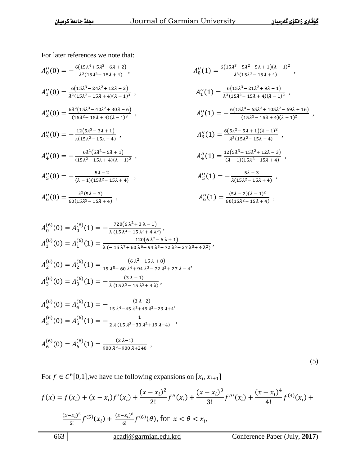For later references we note that:

$$
A_0''(0) = -\frac{6(15\lambda^4 + 5\lambda^3 - 6\lambda + 2)}{\lambda^2(15\lambda^2 - 15\lambda + 4)},
$$
  
\n
$$
A_1''(0) = \frac{6(15\lambda^3 - 24\lambda^2 + 12\lambda - 2)}{\lambda^2(15\lambda^2 - 15\lambda + 4)(\lambda - 1)^3},
$$
  
\n
$$
A_2''(0) = \frac{6\lambda^2(15\lambda^3 - 40\lambda^2 + 30\lambda - 6)}{(15\lambda^2 - 15\lambda + 4)(\lambda - 1)^3},
$$
  
\n
$$
A_3''(0) = -\frac{12(5\lambda^3 - 3\lambda + 1)}{\lambda(15\lambda^2 - 15\lambda + 4)},
$$
  
\n
$$
A_4''(0) = -\frac{6\lambda^2(5\lambda^2 - 5\lambda + 1)}{(15\lambda^2 - 15\lambda + 4)(\lambda - 1)^2},
$$
  
\n
$$
A_5''(0) = -\frac{5\lambda - 2}{(\lambda - 1)(15\lambda^2 - 15\lambda + 4)},
$$
  
\n
$$
A_6''(0) = \frac{\lambda^2(5\lambda - 3)}{60(15\lambda^2 - 15\lambda + 4)},
$$

$$
A_0''(1) = \frac{6(15\lambda^3 - 5\lambda^2 - 5\lambda + 1)(\lambda - 1)^2}{\lambda^3(15\lambda^2 - 15\lambda + 4)},
$$
  
\n
$$
A_1''(1) = \frac{6(15\lambda^3 - 21\lambda^2 + 9\lambda - 1)}{\lambda^3(15\lambda^2 - 15\lambda + 4)(\lambda - 1)^2},
$$
  
\n
$$
A_2''(1) = -\frac{6(15\lambda^4 - 65\lambda^3 + 105\lambda^2 - 69\lambda + 16)}{(15\lambda^2 - 15\lambda + 4)(\lambda - 1)^2},
$$
  
\n
$$
A_3''(1) = \frac{6(5\lambda^2 - 5\lambda + 1)(\lambda - 1)^2}{\lambda^2(15\lambda^2 - 15\lambda + 4)},
$$
  
\n
$$
A_4''(1) = \frac{12(5\lambda^3 - 15\lambda^2 + 12\lambda - 3)}{(\lambda - 1)(15\lambda^2 - 15\lambda + 4)},
$$
  
\n
$$
A_5''(1) = -\frac{5\lambda - 3}{\lambda(15\lambda^2 - 15\lambda + 4)},
$$

$$
A_6''(1) = \frac{(5\lambda - 2)(\lambda - 1)^2}{60(15\lambda^2 - 15\lambda + 4)},
$$

$$
A_0^{(6)}(0) = A_0^{(6)}(1) = -\frac{720(6\lambda^2 + 3\lambda - 1)}{\lambda (15\lambda^4 - 15\lambda^3 + 4\lambda^2)},
$$
  
\n
$$
A_1^{(6)}(0) = A_1^{(6)}(1) = \frac{120(6\lambda^2 - 6\lambda + 1)}{\lambda (-15\lambda^7 + 60\lambda^6 - 94\lambda^5 + 72\lambda^4 - 27\lambda^3 + 4\lambda^2)},
$$
  
\n
$$
A_2^{(6)}(0) = A_2^{(6)}(1) = \frac{(6\lambda^2 - 15\lambda + 8)}{15\lambda^5 - 60\lambda^4 + 94\lambda^3 - 72\lambda^2 + 27\lambda - 4},
$$
  
\n
$$
A_3^{(6)}(0) = A_3^{(6)}(1) = -\frac{(3\lambda - 1)}{\lambda (15\lambda^3 - 15\lambda^2 + 4\lambda)},
$$
  
\n
$$
A_4^{(6)}(0) = A_4^{(6)}(1) = -\frac{(3\lambda - 2)}{15\lambda^4 - 45\lambda^3 + 49\lambda^2 - 23\lambda + 4},
$$
  
\n
$$
A_5^{(6)}(0) = A_5^{(6)}(1) = -\frac{1}{2\lambda (15\lambda^3 - 30\lambda^2 + 19\lambda - 4)},
$$
  
\n
$$
A_6^{(6)}(0) = A_6^{(6)}(1) = \frac{(2\lambda - 1)}{900\lambda^2 - 900\lambda + 240},
$$

(5)

For  $f \in C^6[0,1]$ , we have the following expansions on  $[x_i, x_{i+1}]$ 

$$
f(x) = f(x_i) + (x - x_i)f'(x_i) + \frac{(x - x_i)^2}{2!}f''(x_i) + \frac{(x - x_i)^3}{3!}f'''(x_i) + \frac{(x - x_i)^4}{4!}f^{(4)}(x_i) + \frac{(x - x_i)^5}{5!}f^{(5)}(x_i) + \frac{(x - x_i)^6}{6!}f^{(6)}(\theta)
$$
, for  $x < \theta < x_i$ ,  
663 |  $\frac{\text{acadj}(\theta) \text{gramian.edu.krd}}{\text{condference Paper (July, 2017)}}$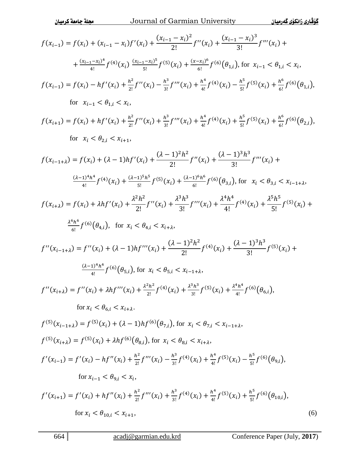$$
f(x_{i-1}) = f(x_i) + (x_{i-1} - x_i) f'(x_i) + \frac{(x_{i-1} - x_i)^2}{2!} f''(x_i) + \frac{(x_{i-1} - x_i)^3}{3!} f'''(x_i) +
$$
  
+ 
$$
\frac{(x_{i-1} - x_i)^3}{4!} f^{(4)}(x_i) \frac{(x_{i-1} - x_i)^5}{5!} f^{(5)}(x_i) + \frac{(x - x_i)^6}{6!} f^{(6)}(6t_{i,i}), \text{ for } x_{i-1} < \theta_{i,i} < x_i,
$$
  

$$
f(x_{i-1}) = f(x_i) - hf'(x_i) + \frac{h^2}{2!} f''(x_i) - \frac{h^3}{3!} f'''(x_i) + \frac{h^4}{4!} f^{(4)}(x_i) - \frac{h^5}{5!} f^{(5)}(x_i) + \frac{h^6}{6!} f^{(6)}(6t_{i,i}),
$$
  
for  $x_{i-1} < \theta_{1,i} < x_i,$   

$$
f(x_{i+1}) = f(x_i) + hf'(x_i) + \frac{h^2}{2!} f''(x_i) + \frac{h^3}{3!} f'''(x_i) + \frac{h^4}{4!} f^{(4)}(x_i) + \frac{h^5}{5!} f^{(5)}(x_i) + \frac{h^6}{6!} f^{(6)}(6t_{2,i}),
$$
  
for  $x_i < \theta_{2,i} < x_{i+1},$   

$$
f(x_{i-1+i}) = f(x_i) + (1 - 1)hf'(x_i) + \frac{(1 - 1)^2h^2}{2!} f''(x_i) + \frac{(1 - 1)^3h^3}{3!} f'''(x_i) +
$$
  

$$
\frac{(1 - 1)^4h^4}{4!} f^{(4)}(x_i) + \frac{3h^2h^2}{2!} f''(x_i) + \frac{\lambda^3h^3}{3!} f'''(x_i) + \frac{\lambda^4h^4}{4!} f^{(4)}(x_i) + \frac{3h^5h^5}{5!} f^{(5)}(x_i) +
$$
  

$$
\frac{h^6}{6!} f^{(6)}(6t_{i,i}), \text{ for } x_i < \theta_{4,i} < x_{i
$$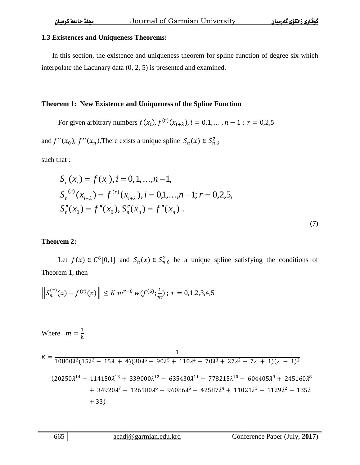#### **1.3 Existences and Uniqueness Theorems:**

 In this section, the existence and uniqueness theorem for spline function of degree six which interpolate the Lacunary data (0, 2, 5) is presented and examined.

#### **Theorem 1: New Existence and Uniqueness of the Spline Function**

For given arbitrary numbers  $f(x_i)$ ,  $f^{(r)}(x_{i+\lambda})$ 

and  $f''(x_0)$ ,  $f''(x_n)$ , There exists a unique spline  $S_n(x) \in S_n^2$ 

such that :

$$
S_n(x_i) = f(x_i), i = 0, 1, ..., n - 1,
$$
  
\n
$$
S_n^{(r)}(x_{i+\lambda}) = f^{(r)}(x_{i+\lambda}), i = 0, 1, ..., n - 1; r = 0, 2, 5,
$$
  
\n
$$
S_n''(x_0) = f''(x_0), S_n''(x_n) = f''(x_n).
$$

(7)

### **Theorem 2:**

Let  $f(x) \in C^6[0,1]$  and  $S_n(x) \in S^2_{n,6}$  be a unique spline satisfying the conditions of Theorem 1, then

$$
\left\|S_n^{(r)}(x) - f^{(r)}(x)\right\| \le K m^{r-6} \, w(f^{(6)}; \frac{1}{m}) \, ; \, r = 0, 1, 2, 3, 4, 5
$$

Where  $m = \frac{1}{b}$ h

$$
K = \frac{1}{10800\lambda^2 (15\lambda^2 - 15\lambda + 4)(30\lambda^6 - 90\lambda^5 + 110\lambda^4 - 70\lambda^3 + 27\lambda^2 - 7\lambda + 1)(\lambda - 1)^2}
$$
  
(20250 $\lambda^{14}$  - 114150 $\lambda^{13}$  + 339000 $\lambda^{12}$  - 635430 $\lambda^{11}$  + 778215 $\lambda^{10}$  - 604405 $\lambda^9$  + 245160 $\lambda^8$   
+ 34920 $\lambda^7$  - 126180 $\lambda^6$  + 96086 $\lambda^5$  - 42587 $\lambda^4$  + 11021 $\lambda^3$  - 1129 $\lambda^2$  - 135 $\lambda$   
+ 33)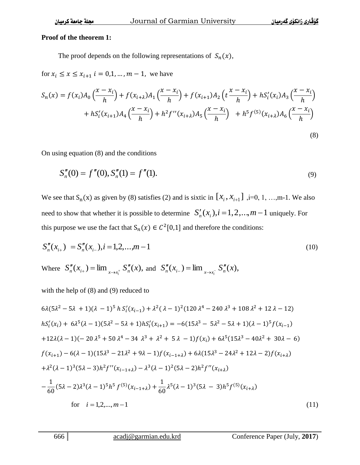#### **Proof of the theorem 1:**

The proof depends on the following representations of  $S_n(x)$ ,

for  $x_i \le x \le x_{i+1}$   $i = 0,1,...,m-1$ , we have

$$
S_n(x) = f(x_i)A_0\left(\frac{x - x_i}{h}\right) + f(x_{i+\lambda})A_1\left(\frac{x - x_i}{h}\right) + f(x_{i+1})A_2\left(t\frac{x - x_i}{h}\right) + hS_i'(x_i)A_3\left(\frac{x - x_i}{h}\right) + hS_i'(x_{i+1})A_4\left(\frac{x - x_i}{h}\right) + h^2f''(x_{i+\lambda})A_5\left(\frac{x - x_i}{h}\right) + h^5f^{(5)}(x_{i+\lambda})A_6\left(\frac{x - x_i}{h}\right)
$$
\n(8)

On using equation (8) and the conditions

$$
S_n''(0) = f''(0), S_n''(1) = f''(1).
$$
\n(9)

We see that  $S_n(x)$  as given by (8) satisfies (2) and is sixtic in  $[x_i, x_{i+1}]$ ,  $i=0, 1, \ldots, m-1$ . We also need to show that whether it is possible to determine  $S'_n(x_i)$ ,  $i = 1, 2, ..., m-1$  uniquely. For this purpose we use the fact that  $S_n(x) \in C^2[0,1]$  and therefore the conditions:

$$
S_n''(x_{i+}) = S_n''(x_{i-}), i = 1, 2, ..., m-1
$$
\n(10)

Where 
$$
S''_n(x_{i+}) = \lim_{x \to x_i^+} S''_n(x)
$$
, and  $S''_n(x_{i-}) = \lim_{x \to x_i^-} S''_n(x)$ ,

with the help of (8) and (9) reduced to

$$
6\lambda(5\lambda^{2} - 5\lambda + 1)(\lambda - 1)^{5} h S'_{i}(x_{i-1}) + \lambda^{2}(\lambda - 1)^{2}(120 \lambda^{4} - 240 \lambda^{3} + 108 \lambda^{2} + 12 \lambda - 12)
$$
\n
$$
hS'_{i}(x_{i}) + 6\lambda^{5}(\lambda - 1)(5\lambda^{2} - 5\lambda + 1)hS'_{i}(x_{i+1}) = -6(15\lambda^{3} - 5\lambda^{2} - 5\lambda + 1)(\lambda - 1)^{5}f(x_{i-1})
$$
\n
$$
+12\lambda(\lambda - 1)(-20 \lambda^{5} + 50 \lambda^{4} - 34 \lambda^{3} + \lambda^{2} + 5\lambda - 1)f(x_{i}) + 6\lambda^{5}(15\lambda^{3} - 40\lambda^{2} + 30\lambda - 6)
$$
\n
$$
f(x_{i+1}) - 6(\lambda - 1)(15\lambda^{3} - 21\lambda^{2} + 9\lambda - 1)f(x_{i-1+\lambda}) + 6\lambda(15\lambda^{3} - 24\lambda^{2} + 12\lambda - 2)f(x_{i+\lambda})
$$
\n
$$
+ \lambda^{2}(\lambda - 1)^{3}(5\lambda - 3)h^{2}f''(x_{i-1+\lambda}) - \lambda^{3}(\lambda - 1)^{2}(5\lambda - 2)h^{2}f''(x_{i+\lambda})
$$
\n
$$
- \frac{1}{60}(5\lambda - 2)\lambda^{3}(\lambda - 1)^{5}h^{5}f^{(5)}(x_{i-1+\lambda}) + \frac{1}{60}\lambda^{5}(\lambda - 1)^{3}(5\lambda - 3)h^{5}f^{(5)}(x_{i+\lambda})
$$
\nfor  $i = 1, 2, ..., m - 1$ \n(11)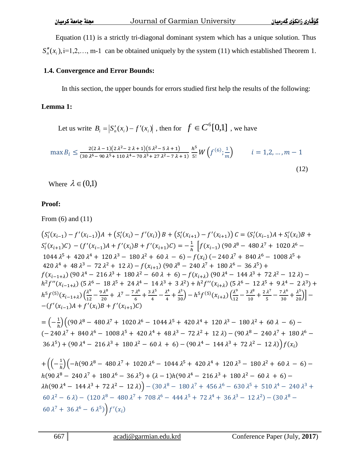Equation (11) is a strictly tri-diagonal dominant system which has a unique solution. Thus  $S''_n(x_i)$ ,  $i=1,2,..., m-1$  can be obtained uniquely by the system (11) which established Theorem 1.

### **1.4. Convergence and Error Bounds:**

In this section, the upper bounds for errors studied first help the results of the following:

# **Lemma 1:**

Let us write  $B_i = |S'_n(x_i) - f'(x_i)|$ , then for  $f \in C^6[0,1]$ , we have

$$
\max B_i \le \frac{2(2\lambda - 1)(2\lambda^2 - 2\lambda + 1)(5\lambda^2 - 5\lambda + 1)}{(30\lambda^6 - 90\lambda^5 + 110\lambda^4 - 70\lambda^3 + 27\lambda^2 - 7\lambda + 1)} \frac{h^5}{5!} W\left(f^{(6)}; \frac{1}{m}\right) \qquad i = 1, 2, ..., m - 1
$$
\n(12)

Where  $\lambda \in (0,1)$ 

# **Proof:**

From (6) and (11)

$$
(S_{i}^{'}(x_{i-1}) - f'(x_{i-1})A + (S_{i}^{'}(x_{i}) - f'(x_{i}))B + (S_{i}^{'}(x_{i+1}) - f'(x_{i+1}))C = (S_{i}^{'}(x_{i-1})A + S_{i}^{'}(x_{i})B + S_{i}^{'}(x_{i+1})C) - (f'(x_{i-1})A + f'(x_{i})B + f'(x_{i+1})C) = -\frac{1}{h} \left[ f(x_{i-1}) (90 \lambda^{8} - 480 \lambda^{7} + 1020 \lambda^{6} - 1044 \lambda^{5} + 420 \lambda^{4} + 120 \lambda^{3} - 180 \lambda^{2} + 60 \lambda - 6) - f(x_{i}) (-240 \lambda^{7} + 840 \lambda^{6} - 1008 \lambda^{5} + 420 \lambda^{4} + 48 \lambda^{3} - 72 \lambda^{2} + 12 \lambda) - f(x_{i+1}) (90 \lambda^{8} - 240 \lambda^{7} + 180 \lambda^{6} - 36 \lambda^{5}) + f(x_{i-1+\lambda}) (90 \lambda^{4} - 216 \lambda^{3} + 180 \lambda^{2} - 60 \lambda + 6) - f(x_{i+\lambda}) (90 \lambda^{4} - 144 \lambda^{3} + 72 \lambda^{2} - 12 \lambda) - h^{2} f''(x_{i-1+\lambda}) (5 \lambda^{6} - 18 \lambda^{5} + 24 \lambda^{4} - 14 \lambda^{3} + 3 \lambda^{2}) + h^{2} f''(x_{i+\lambda}) (5 \lambda^{6} - 12 \lambda^{5} + 9 \lambda^{4} - 2 \lambda^{3}) + h^{5} f^{(5)}(x_{i-1+\lambda}) (\frac{\lambda^{9}}{12} - \frac{9 \lambda^{8}}{20} + \lambda^{7} - \frac{7 \lambda^{6}}{6} + \frac{3 \lambda^{5}}{4} - \frac{\lambda^{4}}{4} + \frac{\lambda^{3}}{30}) - h^{5} f^{(5)}(x_{i+\lambda}) (\frac{\lambda^{9}}{12} - \frac{3 \lambda^{8}}{10} + \frac{2 \lambda^{7}}{5} - \frac{7 \lambda^{6}}{30} + \frac{\lambda^{5}}{20}) - -f'(x_{i-1})A + f'(x_{i})B + f'(x_{i+
$$

$$
+\left((-\frac{1}{h})(-h(90 \lambda^8 - 480 \lambda^7 + 1020 \lambda^6 - 1044 \lambda^5 + 420 \lambda^4 + 120 \lambda^3 - 180 \lambda^2 + 60 \lambda - 6) - h(90 \lambda^8 - 240 \lambda^7 + 180 \lambda^6 - 36 \lambda^5) + (\lambda - 1)h(90 \lambda^4 - 216 \lambda^3 + 180 \lambda^2 - 60 \lambda + 6) - \lambda h(90 \lambda^4 - 144 \lambda^3 + 72 \lambda^2 - 12 \lambda)\right) - (30 \lambda^8 - 180 \lambda^7 + 456 \lambda^6 - 630 \lambda^5 + 510 \lambda^4 - 240 \lambda^3 + 60 \lambda^2 - 6 \lambda) - (120 \lambda^8 - 480 \lambda^7 + 708 \lambda^6 - 444 \lambda^5 + 72 \lambda^4 + 36 \lambda^3 - 12 \lambda^2) - (30 \lambda^8 - 60 \lambda^7 + 36 \lambda^6 - 6 \lambda^5)\right)f'(x_i)
$$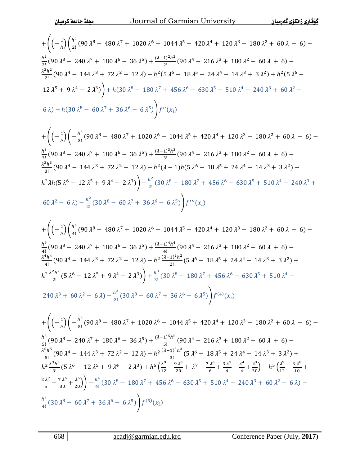$$
+\left((-\frac{1}{h})\left(\frac{h^2}{2!}(90\lambda^8 - 480\lambda^7 + 1020\lambda^6 - 1044\lambda^5 + 420\lambda^4 + 120\lambda^3 - 180\lambda^2 + 60\lambda - 6) - \frac{h^2}{2!}(90\lambda^8 - 240\lambda^7 + 180\lambda^6 - 36\lambda^5) + \frac{(\lambda - 1)^2h^2}{2!}(90\lambda^4 - 216\lambda^3 + 180\lambda^2 - 60\lambda + 6) - \frac{\lambda^2h^2}{2!}(90\lambda^4 - 144\lambda^3 + 72\lambda^2 - 12\lambda) - h^2(5\lambda^6 - 18\lambda^5 + 24\lambda^4 - 14\lambda^3 + 3\lambda^2) + h^2(5\lambda^6 - 12\lambda^5 + 9\lambda^4 - 2\lambda^3)\right) + h(30\lambda^8 - 180\lambda^7 + 456\lambda^6 - 630\lambda^5 + 510\lambda^4 - 240\lambda^3 + 60\lambda^2 - 6\lambda) - h(30\lambda^8 - 60\lambda^7 + 36\lambda^6 - 6\lambda^5)\bigg)f''(x_i)
$$

$$
+\left((-\frac{1}{h})\left(-\frac{h^3}{3!}(90\lambda^8-480\lambda^7+1020\lambda^6-1044\lambda^5+420\lambda^4+120\lambda^3-180\lambda^2+60\lambda-6)-\frac{h^3}{3!}(90\lambda^8-240\lambda^7+180\lambda^6-36\lambda^5)+\frac{(\lambda-1)^3h^3}{3!}(90\lambda^4-216\lambda^3+180\lambda^2-60\lambda+6)-\frac{\lambda^3h^3}{3!}(90\lambda^4-144\lambda^3+72\lambda^2-12\lambda)-h^2(\lambda-1)h(5\lambda^6-18\lambda^5+24\lambda^4-14\lambda^3+3\lambda^2)+\frac{h^2\lambda h(5\lambda^6-12\lambda^5+9\lambda^4-2\lambda^3)}{2!}(30\lambda^8-180\lambda^7+456\lambda^6-630\lambda^5+510\lambda^4-240\lambda^3+60\lambda^2-6\lambda)-\frac{h^2}{2!}(30\lambda^8-60\lambda^7+36\lambda^6-6\lambda^5)\right)f'''(x_i)
$$

$$
+\left((-\frac{1}{h})\left(\frac{h^4}{4!}(90\lambda^8 - 480\lambda^7 + 1020\lambda^6 - 1044\lambda^5 + 420\lambda^4 + 120\lambda^3 - 180\lambda^2 + 60\lambda - 6) - \frac{h^4}{4!}(90\lambda^8 - 240\lambda^7 + 180\lambda^6 - 36\lambda^5) + \frac{(\lambda - 1)^4 h^4}{4!}(90\lambda^4 - 216\lambda^3 + 180\lambda^2 - 60\lambda + 6) - \frac{\lambda^4 h^4}{4!}(90\lambda^4 - 144\lambda^3 + 72\lambda^2 - 12\lambda) - h^2 \frac{(\lambda - 1)^2 h^2}{2!}(5\lambda^6 - 18\lambda^5 + 24\lambda^4 - 14\lambda^3 + 3\lambda^2) + \frac{h^2}{2!}(5\lambda^6 - 12\lambda^5 + 9\lambda^4 - 2\lambda^3)\right) + \frac{h^3}{3!}(30\lambda^8 - 180\lambda^7 + 456\lambda^6 - 630\lambda^5 + 510\lambda^4 - 240\lambda^3 + 60\lambda^2 - 6\lambda) - \frac{h^3}{3!}(30\lambda^8 - 60\lambda^7 + 36\lambda^6 - 6\lambda^5)\right)f^{(4)}(x_i)
$$

$$
+\left((-\frac{1}{h})\left(-\frac{h^5}{5!}(90\lambda^8-480\lambda^7+1020\lambda^6-1044\lambda^5+420\lambda^4+120\lambda^3-180\lambda^2+60\lambda-6)-\frac{h^5}{5!}(90\lambda^8-240\lambda^7+180\lambda^6-36\lambda^5)+\frac{(\lambda-1)^5h^5}{5!}(90\lambda^4-216\lambda^3+180\lambda^2-60\lambda+6)-\frac{\lambda^5h^5}{5!}(90\lambda^4-144\lambda^3+72\lambda^2-12\lambda)-h^2\frac{(\lambda-1)^3h^3}{3!}(5\lambda^6-18\lambda^5+24\lambda^4-14\lambda^3+3\lambda^2)+\frac{h^2\frac{\lambda^3h^3}{3!}(5\lambda^6-12\lambda^5+9\lambda^4-2\lambda^3)+h^5\left(\frac{\lambda^9}{12}-\frac{9\lambda^8}{20}+\lambda^7-\frac{7\lambda^6}{6}+\frac{3\lambda^5}{4}-\frac{\lambda^4}{4}+\frac{\lambda^3}{30}\right)-h^5\left(\frac{\lambda^9}{12}-\frac{3\lambda^8}{10}+\frac{2\lambda^7}{5}-\frac{7\lambda^6}{30}+\frac{\lambda^5}{20}\right)\right)-\frac{h^4}{4!}(30\lambda^8-180\lambda^7+456\lambda^6-630\lambda^5+510\lambda^4-240\lambda^3+60\lambda^2-6\lambda)-\frac{h^4}{4!}(30\lambda^8-60\lambda^7+36\lambda^6-6\lambda^5)\right)f^{(5)}(x_i)
$$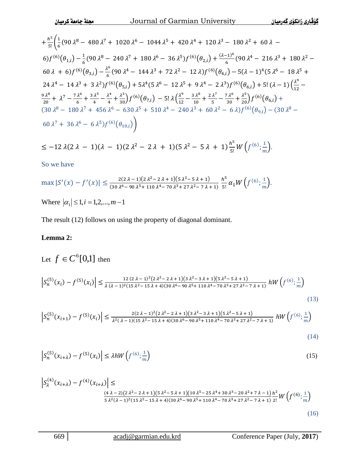$$
+\frac{h^5}{5!} \left( \frac{1}{6} (90 \lambda^8 - 480 \lambda^7 + 1020 \lambda^6 - 1044 \lambda^5 + 420 \lambda^4 + 120 \lambda^3 - 180 \lambda^2 + 60 \lambda - 6 \right) f^{(6)}(\theta_{1,i}) - \frac{1}{6} (90 \lambda^8 - 240 \lambda^7 + 180 \lambda^6 - 36 \lambda^5) f^{(6)}(\theta_{2,i}) + \frac{(\lambda - 1)^6}{6} (90 \lambda^4 - 216 \lambda^3 + 180 \lambda^2 - 60 \lambda + 6) f^{(6)}(\theta_{3,i}) - \frac{\lambda^6}{6} (90 \lambda^4 - 144 \lambda^3 + 72 \lambda^2 - 12 \lambda) f^{(6)}(\theta_{4,i}) - 5(\lambda - 1)^4 (5 \lambda^6 - 18 \lambda^5 + 24 \lambda^4 - 14 \lambda^3 + 3 \lambda^2) f^{(6)}(\theta_{5,i}) + 5\lambda^4 (5 \lambda^6 - 12 \lambda^5 + 9 \lambda^4 - 2 \lambda^3) f^{(6)}(\theta_{6,i}) + 5! (\lambda - 1) \left( \frac{\lambda^9}{12} - \frac{9 \lambda^8}{20} + \lambda^7 - \frac{7 \lambda^6}{6} + \frac{3 \lambda^5}{4} - \frac{\lambda^4}{4} + \frac{\lambda^3}{30} \right) f^{(6)}(\theta_{7,i}) - 5! \lambda \left( \frac{\lambda^9}{12} - \frac{3 \lambda^8}{10} + \frac{2 \lambda^7}{5} - \frac{7 \lambda^6}{30} + \frac{\lambda^5}{20} \right) f^{(6)}(\theta_{6,i}) + 30 \lambda^8 - 180 \lambda^7 + 456 \lambda^6 - 630 \lambda^5 + 510 \lambda^4 - 240 \lambda^3 + 60 \lambda^2 - 6 \lambda) f^{(6)}(\theta_{9,i}) - (30 \lambda^8 - 60 \lambda^7 + 36 \lambda^6 - 6 \lambda^5) f^{(6)}(\theta_{10,i}) \right)
$$

 $\leq -12 \lambda (2 \lambda - 1) (\lambda - 1) (2 \lambda^2 - 2 \lambda + 1) (5 \lambda^2 - 5 \lambda + 1) \frac{h^5}{R}$  $\frac{h^5}{5!}W\left(f^{(6)};\frac{1}{m}\right)$  $\frac{1}{m}$ ).

So we have

$$
\max |S'(x) - f'(x)| \le \frac{2(2\lambda - 1)(2\lambda^2 - 2\lambda + 1)(5\lambda^2 - 5\lambda + 1)}{(30\lambda^6 - 90\lambda^5 + 110\lambda^4 - 70\lambda^3 + 27\lambda^2 - 7\lambda + 1)} \frac{h^5}{5!} \alpha_1 W\left(f^{(6)}; \frac{1}{m}\right).
$$
  
Where  $|\alpha_1| \le 1, i = 1, 2, ..., m - 1$ 

The result (12) follows on using the property of diagonal dominant.

### **Lemma 2:**

Let 
$$
f \in C^{6}[0,1]
$$
 then  
\n
$$
\left| S_{n}^{(5)}(x_{i}) - f^{(5)}(x_{i}) \right| \leq \frac{12(2\lambda - 1)^{2}(2\lambda^{2} - 2\lambda + 1)(3\lambda^{2} - 3\lambda + 1)(5\lambda^{2} - 5\lambda + 1)}{\lambda(\lambda - 1)^{2}(15\lambda^{2} - 15\lambda + 4)(30\lambda^{6} - 90\lambda^{5} + 110\lambda^{4} - 70\lambda^{3} + 27\lambda^{2} - 7\lambda + 1)} hW\left(f^{(6)}; \frac{1}{m}\right)
$$
\n(13)

$$
\left| S_n^{(5)}(x_{i+1}) - f^{(5)}(x_i) \right| \le \frac{2(2\lambda - 1)^2 (2\lambda^2 - 2\lambda + 1)(3\lambda^2 - 3\lambda + 1)(5\lambda^2 - 5\lambda + 1)}{\lambda^2 (\lambda - 1)(15\lambda^2 - 15\lambda + 4)(30\lambda^6 - 90\lambda^5 + 110\lambda^4 - 70\lambda^3 + 27\lambda^2 - 7\lambda + 1)} \ hW\left(f^{(6)}, \frac{1}{m}\right)
$$

$$
(14)
$$

$$
\left| S_n^{(5)}(x_{i+\lambda}) - f^{(5)}(x_i) \right| \le \lambda h W\left( f^{(6)}; \frac{1}{m} \right) \tag{15}
$$

$$
\left| S_{\lambda}^{(4)}(x_{i+\lambda}) - f^{(4)}(x_{i+\lambda}) \right| \leq \frac{(4\lambda - 2)(2\lambda^2 - 2\lambda + 1)(5\lambda^2 - 5\lambda + 1)(10\lambda^5 - 25\lambda^4 + 30\lambda^3 - 20\lambda^2 + 7\lambda - 1)}{5\lambda^2(\lambda - 1)^2(15\lambda^2 - 15\lambda + 4)(30\lambda^6 - 90\lambda^5 + 110\lambda^4 - 70\lambda^3 + 27\lambda^2 - 7\lambda + 1)} \frac{h^2}{2!} W\left(f^{(6)}; \frac{1}{m}\right)
$$
\n(16)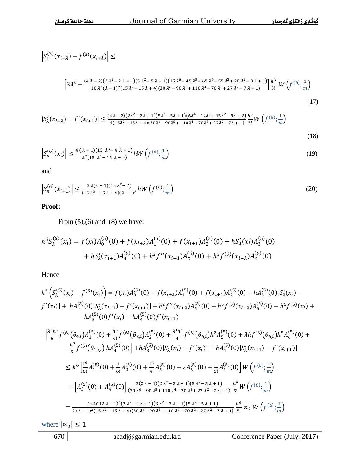$$
\left| S_{\lambda}^{(3)}(x_{i+\lambda}) - f^{(3)}(x_{i+\lambda}) \right| \le
$$
\n
$$
\left[ 3\lambda^2 + \frac{(4\lambda - 2)(2\lambda^2 - 2\lambda + 1)(5\lambda^2 - 5\lambda + 1)(15\lambda^6 - 45\lambda^5 + 65\lambda^4 - 55\lambda^3 + 28\lambda^2 - 8\lambda + 1)}{10\lambda^2(\lambda - 1)^2(15\lambda^2 - 15\lambda + 4)(30\lambda^6 - 90\lambda^5 + 110\lambda^4 - 70\lambda^3 + 27\lambda^2 - 7\lambda + 1)} \right] \frac{h^3}{3!} W \left( f^{(6)}; \frac{1}{m} \right)
$$
\n
$$
|S_{\lambda}'(x_{i+\lambda}) - f'(x_{i+\lambda})| \le \frac{(4\lambda - 2)(2\lambda^2 - 2\lambda + 1)(5\lambda^2 - 5\lambda + 1)(6\lambda^4 - 12\lambda^3 + 15\lambda^2 - 9\lambda + 2)}{6(15\lambda^2 - 15\lambda + 4)(30\lambda^6 - 90\lambda^5 + 110\lambda^4 - 70\lambda^3 + 27\lambda^2 - 7\lambda + 1)} \frac{h^5}{5!} W \left( f^{(6)}; \frac{1}{m} \right)
$$
\n
$$
(17)
$$

(18)

$$
\left| S_n^{(6)}(x_i) \right| \le \frac{4 \left( \lambda + 1 \right) \left( 15 \lambda^3 - 4 \lambda + 1 \right)}{\lambda^2 \left( 15 \lambda^2 - 15 \lambda + 4 \right)} h W \left( f^{(6)}; \frac{1}{m} \right) \tag{19}
$$

and

$$
\left| S_n^{(6)}(x_{i+1}) \right| \le \frac{2 \lambda (\lambda + 1)(15 \lambda^2 - 7)}{(15 \lambda^2 - 15 \lambda + 4)(\lambda - 1)^2} hW\left(f^{(6)}; \frac{1}{m}\right) \tag{20}
$$

### **Proof:**

From  $(5),(6)$  and  $(8)$  we have:

$$
h^5 S_{\lambda}^{(5)}(x_i) = f(x_i) A_0^{(5)}(0) + f(x_{i+\lambda}) A_1^{(5)}(0) + f(x_{i+1}) A_2^{(5)}(0) + h S_{\lambda}'(x_i) A_3^{(5)}(0)
$$
  
+  $h S_{\lambda}'(x_{i+1}) A_4^{(5)}(0) + h^2 f''(x_{i+\lambda}) A_5^{(5)}(0) + h^5 f^{(5)}(x_{i+\lambda}) A_6^{(5)}(0)$ 

Hence

$$
h^{5}\left(S_{\lambda}^{(5)}(x_{i}) - f^{(5)}(x_{i})\right) = f(x_{i})A_{0}^{(5)}(0) + f(x_{i+\lambda})A_{1}^{(5)}(0) + f(x_{i+1})A_{2}^{(5)}(0) + hA_{3}^{(5)}(0)[S_{\lambda}^{\prime}(x_{i}) - f^{\prime}(x_{i})] + hA_{4}^{(5)}(0)[S_{\lambda}^{\prime}(x_{i+1}) - f^{\prime}(x_{i+1})] + h^{2}f^{\prime\prime}(x_{i+\lambda})A_{5}^{(5)}(0) + h^{5}f^{(5)}(x_{i+\lambda})A_{6}^{(5)}(0) - h^{5}f^{(5)}(x_{i}) + hA_{3}^{(5)}(0)f^{\prime}(x_{i}) + hA_{4}^{(5)}(0)f^{\prime}(x_{i+1})
$$
\n
$$
= \left[\frac{\lambda^{6}h^{6}}{6!}f^{(6)}(\theta_{4,i})A_{1}^{(5)}(0) + \frac{h^{6}}{6!}f^{(6)}(\theta_{2,i})A_{2}^{(5)}(0) + \frac{\lambda^{4}h^{4}}{4!}f^{(6)}(\theta_{6,i})h^{2}A_{5}^{(5)}(0) + \lambda hf^{(6)}(\theta_{6,i})h^{5}A_{6}^{(5)}(0) + \frac{h^{5}}{5!}f^{(6)}(\theta_{10,i})hA_{4}^{(5)}(0)\right] + hA_{3}^{(5)}(0)[S_{\lambda}^{\prime}(x_{i}) - f^{\prime}(x_{i})] + hA_{4}^{(5)}(0)[S_{\lambda}^{\prime}(x_{i+1}) - f^{\prime}(x_{i+1})]
$$
\n
$$
\leq h^{6}\left[\frac{\lambda^{6}}{6!}A_{1}^{(5)}(0) + \frac{1}{6!}A_{2}^{(5)}(0) + \frac{\lambda^{4}}{4!}A_{5}^{(5)}(0) + \lambda A_{6}^{(5)}(0) + \frac{1}{5!}A_{4}^{(5)}(0)\right]W\left(f^{(6)}; \frac{1}{m}\right)
$$
\n
$$
+ \left[A_{3}^{(5)}(0) + A_{4}^{(5)}(0)\right] \frac{2(2\lambda - 1)(2\lambda^{2} - 2\lambda + 1)(5\lambda^{2} -
$$

where  $|\alpha_2|$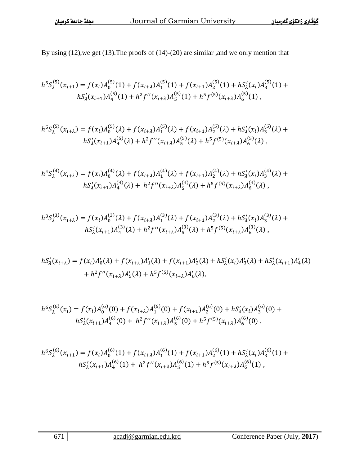By using (12),we get (13).The proofs of (14)-(20) are similar ,and we only mention that

$$
h^5S_{\lambda}^{(5)}(x_{i+1}) = f(x_i)A_0^{(5)}(1) + f(x_{i+\lambda})A_1^{(5)}(1) + f(x_{i+1})A_2^{(5)}(1) + hS_{\lambda}'(x_i)A_3^{(5)}(1) + hS_{\lambda}'(x_{i+1})A_4^{(5)}(1) + h^2f''(x_{i+\lambda})A_5^{(5)}(1) + h^5f^{(5)}(x_{i+\lambda})A_6^{(5)}(1),
$$

$$
h^5S_{\lambda}^{(5)}(x_{i+\lambda}) = f(x_i)A_0^{(5)}(\lambda) + f(x_{i+\lambda})A_1^{(5)}(\lambda) + f(x_{i+1})A_2^{(5)}(\lambda) + hS_{\lambda}'(x_i)A_3^{(5)}(\lambda) + hS_{\lambda}'(x_{i+1})A_4^{(5)}(\lambda) + h^2f''(x_{i+\lambda})A_5^{(5)}(\lambda) + h^5f^{(5)}(x_{i+\lambda})A_6^{(5)}(\lambda),
$$

$$
h^4S_{\lambda}^{(4)}(x_{i+\lambda}) = f(x_i)A_0^{(4)}(\lambda) + f(x_{i+\lambda})A_1^{(4)}(\lambda) + f(x_{i+1})A_2^{(4)}(\lambda) + hS_{\lambda}'(x_i)A_3^{(4)}(\lambda) + hS_{\lambda}'(x_{i+1})A_4^{(4)}(\lambda) + h^2f''(x_{i+\lambda})A_5^{(4)}(\lambda) + h^5f^{(5)}(x_{i+\lambda})A_6^{(4)}(\lambda),
$$

$$
h^3 S_{\lambda}^{(3)}(x_{i+\lambda}) = f(x_i)A_0^{(3)}(\lambda) + f(x_{i+\lambda})A_1^{(3)}(\lambda) + f(x_{i+1})A_2^{(3)}(\lambda) + hS_{\lambda}'(x_i)A_3^{(3)}(\lambda) + hS_{\lambda}'(x_{i+1})A_4^{(3)}(\lambda) + h^2 f''(x_{i+\lambda})A_5^{(3)}(\lambda) + h^5 f^{(5)}(x_{i+\lambda})A_6^{(3)}(\lambda),
$$

$$
hS'_{\lambda}(x_{i+\lambda}) = f(x_i)A'_{0}(\lambda) + f(x_{i+\lambda})A'_{1}(\lambda) + f(x_{i+1})A'_{2}(\lambda) + hS'_{\lambda}(x_i)A'_{3}(\lambda) + hS'_{\lambda}(x_{i+1})A'_{4}(\lambda) + h^{2}f''(x_{i+\lambda})A'_{5}(\lambda) + h^{5}f^{(5)}(x_{i+\lambda})A'_{6}(\lambda),
$$

$$
h^6S_{\lambda}^{(6)}(x_i) = f(x_i)A_0^{(6)}(0) + f(x_{i+\lambda})A_1^{(6)}(0) + f(x_{i+1})A_2^{(6)}(0) + hS_{\lambda}'(x_i)A_3^{(6)}(0) + hS_{\lambda}'(x_{i+1})A_4^{(6)}(0) + h^2f''(x_{i+\lambda})A_5^{(6)}(0) + h^5f^{(5)}(x_{i+\lambda})A_6^{(6)}(0),
$$

$$
h^{6}S_{\lambda}^{(6)}(x_{i+1}) = f(x_i)A_0^{(6)}(1) + f(x_{i+\lambda})A_1^{(6)}(1) + f(x_{i+1})A_2^{(6)}(1) + hS_{\lambda}'(x_i)A_3^{(6)}(1) + hS_{\lambda}'(x_{i+1})A_4^{(6)}(1) + h^{2}f''(x_{i+\lambda})A_5^{(6)}(1) + h^{5}f^{(5)}(x_{i+\lambda})A_6^{(6)}(1),
$$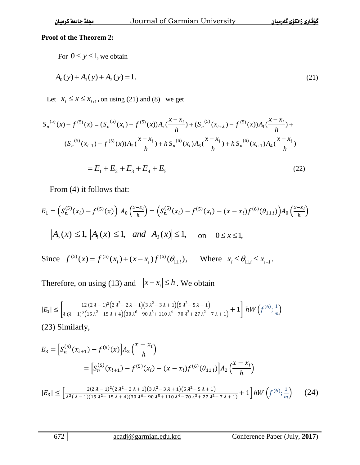# **Proof of the Theorem 2:**

For 
$$
0 \le y \le 1
$$
, we obtain  
\n
$$
A_0(y) + A_1(y) + A_2(y) = 1.
$$
\n(21)

Let  $x_i \leq x \leq x_{i+1}$ , on using (21) and (8) we get

$$
S_n^{(5)}(x) - f^{(5)}(x) = (S_n^{(5)}(x_i) - f^{(5)}(x))A_0(\frac{x - x_i}{h}) + (S_n^{(5)}(x_{i+\lambda}) - f^{(5)}(x))A_1(\frac{x - x_i}{h}) +
$$
  

$$
(S_n^{(5)}(x_{i+1}) - f^{(5)}(x))A_2(\frac{x - x_i}{h}) + hS_n^{(6)}(x_i)A_3(\frac{x - x_i}{h}) + hS_n^{(6)}(x_{i+1})A_4(\frac{x - x_i}{h})
$$
  

$$
= E_1 + E_2 + E_3 + E_4 + E_5
$$
 (22)

From (4) it follows that:

$$
E_1 = \left( S_n^{(5)}(x_i) - f^{(5)}(x) \right) A_0 \left( \frac{x - x_i}{h} \right) = \left( S_n^{(5)}(x_i) - f^{(5)}(x_i) - (x - x_i) f^{(6)}(\theta_{11,i}) \right) A_0 \left( \frac{x - x_i}{h} \right)
$$
  

$$
|A_0(x)| \le 1, |A_1(x)| \le 1, \text{ and } |A_2(x)| \le 1, \text{ on } 0 \le x \le 1,
$$

Since  $f^{(5)}(x) = f^{(5)}(x_i) + (x - x_i) f^{(6)}(\theta_{11,i}),$  $f^{(5)}(x) = f^{(5)}(x) + (x-x) f^{(6)}$  $f^{(5)}(x) = f^{(5)}(x_i) + (x - x_i) f^{(6)}(\theta_{11,i}),$  Where  $x_i \leq \theta_{11,i} \leq x_{i+1}.$ 

Therefore, on using (13) and  $|x-x_i| \leq h$ . We obtain

$$
|E_1| \le \left[\frac{12(2\lambda - 1)^2(2\lambda^2 - 2\lambda + 1)(3\lambda^2 - 3\lambda + 1)(5\lambda^2 - 5\lambda + 1)}{\lambda(\lambda - 1)^2(15\lambda^2 - 15\lambda + 4)(30\lambda^6 - 90\lambda^5 + 110\lambda^4 - 70\lambda^3 + 27\lambda^2 - 7\lambda + 1)} + 1\right] hW\left(f^{(6)}; \frac{1}{m}\right)
$$
\n(23) Similarly,

$$
E_3 = \left[ S_n^{(5)}(x_{i+1}) - f^{(5)}(x) \right] A_2 \left( \frac{x - x_i}{h} \right)
$$
  
= 
$$
\left[ S_n^{(5)}(x_{i+1}) - f^{(5)}(x_i) - (x - x_i) f^{(6)}(\theta_{11,i}) \right] A_2 \left( \frac{x - x_i}{h} \right)
$$
  

$$
|E_3| \le \left[ \frac{2(2\lambda - 1)^2 (2\lambda^2 - 2\lambda + 1)(3\lambda^2 - 3\lambda + 1)(5\lambda^2 - 5\lambda + 1)}{\lambda^2 (\lambda - 1)(15\lambda^2 - 15\lambda + 4)(30\lambda^6 - 90\lambda^5 + 110\lambda^4 - 70\lambda^3 + 27\lambda^2 - 7\lambda + 1)} + 1 \right] hW \left( f^{(6)}; \frac{1}{m} \right) \tag{24}
$$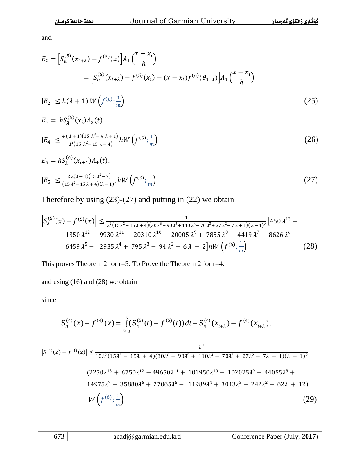and

$$
E_2 = \left[ S_n^{(5)}(x_{i+\lambda}) - f^{(5)}(x) \right] A_1 \left( \frac{x - x_i}{h} \right)
$$
  
\n
$$
= \left[ S_n^{(5)}(x_{i+\lambda}) - f^{(5)}(x_i) - (x - x_i) f^{(6)}(\theta_{11,i}) \right] A_1 \left( \frac{x - x_i}{h} \right)
$$
  
\n
$$
|E_2| \le h(\lambda + 1) W \left( f^{(6)}; \frac{1}{m} \right)
$$
  
\n
$$
E_4 = h S_\lambda^{(6)}(x_i) A_3(t)
$$
  
\n
$$
|E_4| \le \frac{4(\lambda + 1)(15 \lambda^3 - 4 \lambda + 1)}{\lambda^2 (15 \lambda^2 - 15 \lambda + 4)} h W \left( f^{(6)}; \frac{1}{m} \right)
$$
 (26)

$$
E_5 = hS_\lambda^{(6)}(x_{i+1})A_4(t).
$$
  
\n
$$
|E_5| \le \frac{2\lambda(\lambda+1)(15\lambda^2-7)}{(15\lambda^2-15\lambda+4)(\lambda-1)^2}hW\left(f^{(6)}; \frac{1}{m}\right)
$$
\n(27)

Therefore by using  $(23)-(27)$  and putting in  $(22)$  we obtain

$$
\left| S_{\lambda}^{(5)}(x) - f^{(5)}(x) \right| \leq \frac{1}{\lambda^2 (15 \lambda^2 - 15 \lambda + 4)(30 \lambda^6 - 90 \lambda^5 + 110 \lambda^4 - 70 \lambda^3 + 27 \lambda^2 - 7 \lambda + 1)(\lambda - 1)^2} \left[ 450 \lambda^{13} + 1350 \lambda^{12} - 9930 \lambda^{11} + 20310 \lambda^{10} - 20005 \lambda^9 + 7855 \lambda^8 + 4419 \lambda^7 - 8626 \lambda^6 + 6459 \lambda^5 - 2935 \lambda^4 + 795 \lambda^3 - 94 \lambda^2 - 6 \lambda + 2 \right] hW\left(f^{(6)}; \frac{1}{m}\right) \tag{28}
$$

This proves Theorem 2 for r=5. To Prove the Theorem 2 for r=4:

and using (16) and (28) we obtain

since

$$
S_n^{(4)}(x) - f^{(4)}(x) = \int_{x_{i+\lambda}}^x (S_n^{(5)}(t) - f^{(5)}(t)) dt + S_n^{(4)}(x_{i+\lambda}) - f^{(4)}(x_{i+\lambda}).
$$

$$
|S^{(4)}(x) - f^{(4)}(x)| \le \frac{h^2}{10\lambda^2 (15\lambda^2 - 15\lambda + 4)(30\lambda^6 - 90\lambda^5 + 110\lambda^4 - 70\lambda^3 + 27\lambda^2 - 7\lambda + 1)(\lambda - 1)^2}
$$
  
(2250\lambda^{13} + 6750\lambda^{12} - 49650\lambda^{11} + 101950\lambda^{10} - 102025\lambda^9 + 44055\lambda^8 + 14975\lambda^7 - 35880\lambda^6 + 27065\lambda^5 - 11989\lambda^4 + 3013\lambda^3 - 242\lambda^2 - 62\lambda + 12)  

$$
W\left(f^{(6)}; \frac{1}{m}\right)
$$
(29)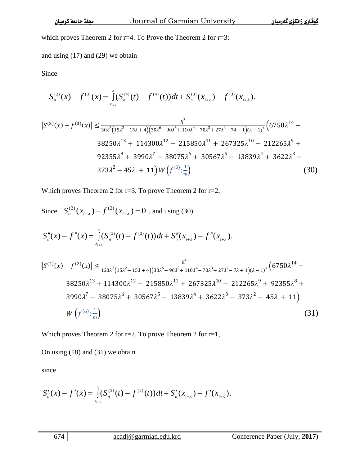which proves Theorem 2 for r=4. To Prove the Theorem 2 for r=3:

and using (17) and (29) we obtain

Since

$$
S_n^{(3)}(x) - f^{(3)}(x) = \int_{x_{i+\lambda}}^x (S_n^{(4)}(t) - f^{(4)}(t)) dt + S_n^{(3)}(x_{i+\lambda}) - f^{(3)}(x_{i+\lambda}).
$$

$$
|S^{(3)}(x) - f^{(3)}(x)| \le \frac{h^3}{30\lambda^2 (15\lambda^2 - 15\lambda + 4)(30\lambda^6 - 90\lambda^5 + 110\lambda^4 - 70\lambda^3 + 27\lambda^2 - 7\lambda + 1)(\lambda - 1)^2} \left(6750\lambda^{14} - 38250\lambda^{13} + 114300\lambda^{12} - 215850\lambda^{11} + 267325\lambda^{10} - 212265\lambda^9 + 92355\lambda^8 + 3990\lambda^7 - 38075\lambda^6 + 30567\lambda^5 - 13839\lambda^4 + 3622\lambda^3 - 373\lambda^2 - 45\lambda + 11\right)W\left(f^{(6)}; \frac{1}{m}\right)
$$
\n(30)

Which proves Theorem 2 for r=3. To prove Theorem 2 for r=2,

Since  $S_n^{(2)}(x_{i+\lambda}) - f^{(2)}(x_{i+\lambda}) = 0$ , and using (30)

$$
S''_n(x) - f''(x) = \int_{x_{i+2}}^x (S_n^{(3)}(t) - f^{(3)}(t)) dt + S''_n(x_{i+2}) - f''(x_{i+2}).
$$
  
\n
$$
|S^{(2)}(x) - f^{(2)}(x)| \le \frac{h^4}{120\lambda^2 (15\lambda^2 - 15\lambda + 4)(30\lambda^6 - 90\lambda^5 + 110\lambda^4 - 70\lambda^3 + 27\lambda^2 - 7\lambda + 1)(\lambda - 1)^2} (6750\lambda^{14} - 38250\lambda^{13} + 114300\lambda^{12} - 215850\lambda^{11} + 267325\lambda^{10} - 212265\lambda^9 + 92355\lambda^8 + 3990\lambda^7 - 38075\lambda^6 + 30567\lambda^5 - 13839\lambda^4 + 3622\lambda^3 - 373\lambda^2 - 45\lambda + 11)
$$
  
\n
$$
W(f^{(6)}; \frac{1}{m})
$$
\n(31)

Which proves Theorem 2 for r=2. To prove Theorem 2 for r=1,

On using (18) and (31) we obtain

since

$$
S'_{n}(x) - f'(x) = \int_{x_{i+\lambda}}^{x} (S_{n}^{(2)}(t) - f^{(2)}(t)) dt + S'_{n}(x_{i+\lambda}) - f'(x_{i+\lambda}).
$$